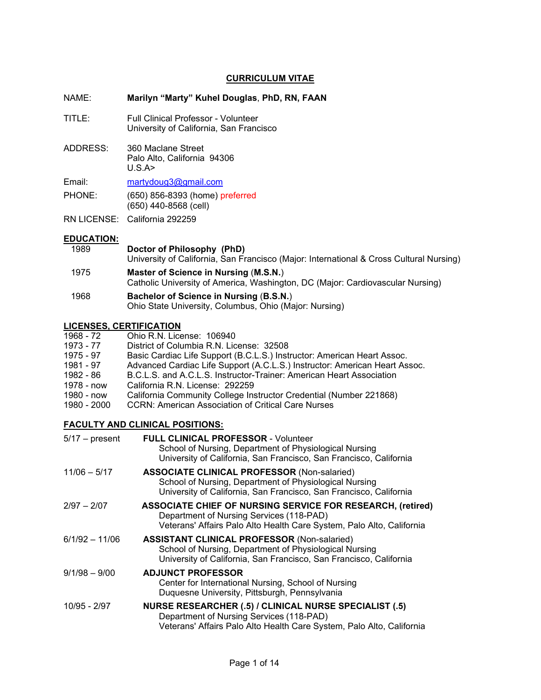# **CURRICULUM VITAE**

#### NAME: **Marilyn "Marty" Kuhel Douglas**, **PhD, RN, FAAN**

- TITLE: Full Clinical Professor Volunteer University of California, San Francisco
- ADDRESS: 360 Maclane Street Palo Alto, California 94306 U.S.A>

Email: [martydoug3@gmail.com](mailto:martydoug3@gmail.com)

PHONE: (650) 856-8393 (home) preferred (650) 440-8568 (cell)

RN LICENSE: California 292259

# **EDUCATION:**<br>1989

- **Doctor of Philosophy (PhD)** University of California, San Francisco (Major: International & Cross Cultural Nursing) 1975 **Master of Science in Nursing** (**M.S.N.**) Catholic University of America, Washington, DC (Major: Cardiovascular Nursing)
- 1968 **Bachelor of Science in Nursing** (**B.S.N.**) Ohio State University, Columbus, Ohio (Major: Nursing)

# **LICENSES, CERTIFICATION**

| 1968 - 72   | Ohio R.N. License: 106940                                                  |
|-------------|----------------------------------------------------------------------------|
| 1973 - 77   | District of Columbia R.N. License: 32508                                   |
| 1975 - 97   | Basic Cardiac Life Support (B.C.L.S.) Instructor: American Heart Assoc.    |
| 1981 - 97   | Advanced Cardiac Life Support (A.C.L.S.) Instructor: American Heart Assoc. |
| 1982 - 86   | B.C.L.S. and A.C.L.S. Instructor-Trainer: American Heart Association       |
| 1978 - now  | California R.N. License: 292259                                            |
| 1980 - now  | California Community College Instructor Credential (Number 221868)         |
| 1980 - 2000 | <b>CCRN: American Association of Critical Care Nurses</b>                  |

# **FACULTY AND CLINICAL POSITIONS:**

| <b>FULL CLINICAL PROFESSOR - Volunteer</b><br>School of Nursing, Department of Physiological Nursing<br>University of California, San Francisco, San Francisco, California             |
|----------------------------------------------------------------------------------------------------------------------------------------------------------------------------------------|
| <b>ASSOCIATE CLINICAL PROFESSOR (Non-salaried)</b><br>School of Nursing, Department of Physiological Nursing<br>University of California, San Francisco, San Francisco, California     |
| <b>ASSOCIATE CHIEF OF NURSING SERVICE FOR RESEARCH, (retired)</b><br>Department of Nursing Services (118-PAD)<br>Veterans' Affairs Palo Alto Health Care System, Palo Alto, California |
| <b>ASSISTANT CLINICAL PROFESSOR (Non-salaried)</b><br>School of Nursing, Department of Physiological Nursing<br>University of California, San Francisco, San Francisco, California     |
| <b>ADJUNCT PROFESSOR</b><br>Center for International Nursing, School of Nursing<br>Duquesne University, Pittsburgh, Pennsylvania                                                       |
| <b>NURSE RESEARCHER (.5) / CLINICAL NURSE SPECIALIST (.5)</b><br>Department of Nursing Services (118-PAD)<br>Veterans' Affairs Palo Alto Health Care System, Palo Alto, California     |
|                                                                                                                                                                                        |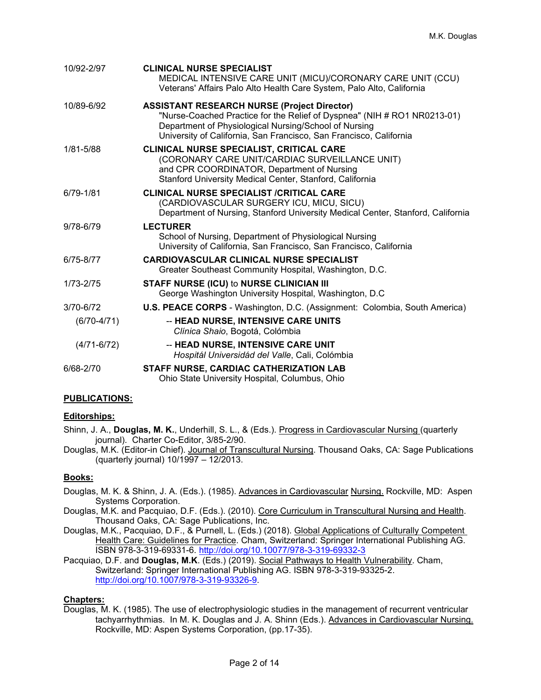| 10/92-2/97      | <b>CLINICAL NURSE SPECIALIST</b><br>MEDICAL INTENSIVE CARE UNIT (MICU)/CORONARY CARE UNIT (CCU)<br>Veterans' Affairs Palo Alto Health Care System, Palo Alto, California                                                                                      |
|-----------------|---------------------------------------------------------------------------------------------------------------------------------------------------------------------------------------------------------------------------------------------------------------|
| 10/89-6/92      | <b>ASSISTANT RESEARCH NURSE (Project Director)</b><br>"Nurse-Coached Practice for the Relief of Dyspnea" (NIH # RO1 NR0213-01)<br>Department of Physiological Nursing/School of Nursing<br>University of California, San Francisco, San Francisco, California |
| 1/81-5/88       | CLINICAL NURSE SPECIALIST, CRITICAL CARE<br>(CORONARY CARE UNIT/CARDIAC SURVEILLANCE UNIT)<br>and CPR COORDINATOR, Department of Nursing<br>Stanford University Medical Center, Stanford, California                                                          |
| 6/79-1/81       | <b>CLINICAL NURSE SPECIALIST /CRITICAL CARE</b><br>(CARDIOVASCULAR SURGERY ICU, MICU, SICU)<br>Department of Nursing, Stanford University Medical Center, Stanford, California                                                                                |
| 9/78-6/79       | <b>LECTURER</b><br>School of Nursing, Department of Physiological Nursing<br>University of California, San Francisco, San Francisco, California                                                                                                               |
| 6/75-8/77       | <b>CARDIOVASCULAR CLINICAL NURSE SPECIALIST</b><br>Greater Southeast Community Hospital, Washington, D.C.                                                                                                                                                     |
| 1/73-2/75       | <b>STAFF NURSE (ICU) to NURSE CLINICIAN III</b><br>George Washington University Hospital, Washington, D.C.                                                                                                                                                    |
| 3/70-6/72       | U.S. PEACE CORPS - Washington, D.C. (Assignment: Colombia, South America)                                                                                                                                                                                     |
| $(6/70-4/71)$   | -- HEAD NURSE, INTENSIVE CARE UNITS<br>Clínica Shaio, Bogotá, Colómbia                                                                                                                                                                                        |
| $(4/71 - 6/72)$ | -- HEAD NURSE, INTENSIVE CARE UNIT<br>Hospitál Universidád del Valle, Cali, Colómbia                                                                                                                                                                          |
| 6/68-2/70       | STAFF NURSE, CARDIAC CATHERIZATION LAB<br>Ohio State University Hospital, Columbus, Ohio                                                                                                                                                                      |

# **PUBLICATIONS:**

#### **Editorships:**

Shinn, J. A., **Douglas, M. K.**, Underhill, S. L., & (Eds.). Progress in Cardiovascular Nursing (quarterly journal). Charter Co-Editor, 3/85-2/90.

Douglas, M.K. (Editor-in Chief). Journal of Transcultural Nursing. Thousand Oaks, CA: Sage Publications (quarterly journal) 10/1997 – 12/2013.

# **Books:**

- Douglas, M. K. & Shinn, J. A. (Eds.). (1985). Advances in Cardiovascular Nursing. Rockville, MD: Aspen Systems Corporation.
- Douglas, M.K. and Pacquiao, D.F. (Eds.). (2010). Core Curriculum in Transcultural Nursing and Health. Thousand Oaks, CA: Sage Publications, Inc.
- Douglas, M.K., Pacquiao, D.F., & Purnell, L. (Eds.) (2018). Global Applications of Culturally Competent Health Care: Guidelines for Practice. Cham, Switzerland: Springer International Publishing AG. ISBN 978-3-319-69331-6.<http://doi.org/10.10077/978-3-319-69332-3>

Pacquiao, D.F. and **Douglas, M.K**. (Eds.) (2019). Social Pathways to Health Vulnerability. Cham, Switzerland: Springer International Publishing AG. ISBN 978-3-319-93325-2. [http://doi.org/10.1007/978-3-319-93326-9.](http://doi.org/10.1007/978-3-319-93326-9)

# **Chapters:**

Douglas, M. K. (1985). The use of electrophysiologic studies in the management of recurrent ventricular tachyarrhythmias. In M. K. Douglas and J. A. Shinn (Eds.). Advances in Cardiovascular Nursing. Rockville, MD: Aspen Systems Corporation, (pp.17-35).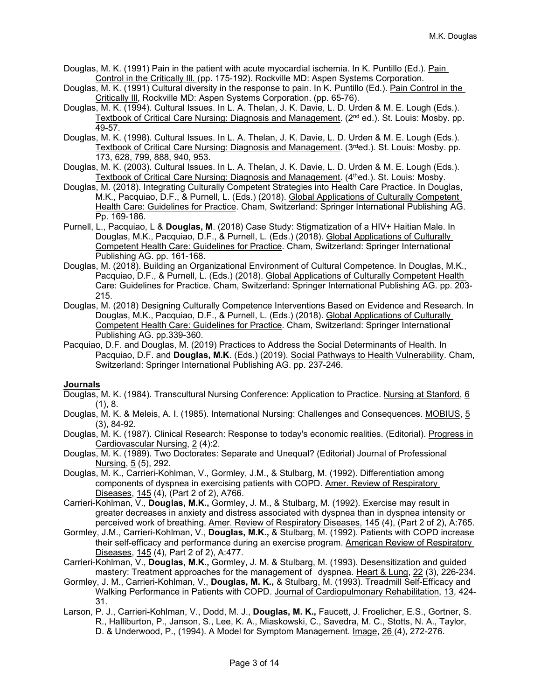Douglas, M. K. (1991) Pain in the patient with acute myocardial ischemia. In K. Puntillo (Ed.). Pain Control in the Critically Ill. (pp. 175-192). Rockville MD: Aspen Systems Corporation.

- Douglas, M. K. (1991) Cultural diversity in the response to pain. In K. Puntillo (Ed.). Pain Control in the Critically Ill, Rockville MD: Aspen Systems Corporation. (pp. 65-76).
- Douglas, M. K. (1994). Cultural Issues. In L. A. Thelan, J. K. Davie, L. D. Urden & M. E. Lough (Eds.). Textbook of Critical Care Nursing: Diagnosis and Management. (2<sup>nd</sup> ed.). St. Louis: Mosby. pp. 49-57.
- Douglas, M. K. (1998). Cultural Issues. In L. A. Thelan, J. K. Davie, L. D. Urden & M. E. Lough (Eds.). Textbook of Critical Care Nursing: Diagnosis and Management. (3rded.). St. Louis: Mosby. pp. 173, 628, 799, 888, 940, 953.
- Douglas, M. K. (2003). Cultural Issues. In L. A. Thelan, J. K. Davie, L. D. Urden & M. E. Lough (Eds.). Textbook of Critical Care Nursing: Diagnosis and Management. (4<sup>th</sup>ed.). St. Louis: Mosby.
- Douglas, M. (2018). Integrating Culturally Competent Strategies into Health Care Practice. In Douglas, M.K., Pacquiao, D.F., & Purnell, L. (Eds.) (2018). Global Applications of Culturally Competent Health Care: Guidelines for Practice. Cham, Switzerland: Springer International Publishing AG. Pp. 169-186.
- Purnell, L., Pacquiao, L & **Douglas, M**. (2018) Case Study: Stigmatization of a HIV+ Haitian Male. In Douglas, M.K., Pacquiao, D.F., & Purnell, L. (Eds.) (2018). Global Applications of Culturally Competent Health Care: Guidelines for Practice. Cham, Switzerland: Springer International Publishing AG. pp. 161-168.
- Douglas, M. (2018). Building an Organizational Environment of Cultural Competence. In Douglas, M.K., Pacquiao, D.F., & Purnell, L. (Eds.) (2018). Global Applications of Culturally Competent Health Care: Guidelines for Practice. Cham, Switzerland: Springer International Publishing AG. pp. 203- 215.
- Douglas, M. (2018) Designing Culturally Competence Interventions Based on Evidence and Research. In Douglas, M.K., Pacquiao, D.F., & Purnell, L. (Eds.) (2018). Global Applications of Culturally Competent Health Care: Guidelines for Practice. Cham, Switzerland: Springer International Publishing AG. pp.339-360.
- Pacquiao, D.F. and Douglas, M. (2019) Practices to Address the Social Determinants of Health. In Pacquiao, D.F. and **Douglas, M.K**. (Eds.) (2019). Social Pathways to Health Vulnerability. Cham, Switzerland: Springer International Publishing AG. pp. 237-246.

#### **Journals**

- Douglas, M. K. (1984). Transcultural Nursing Conference: Application to Practice. Nursing at Stanford, 6 (1), 8.
- Douglas, M. K. & Meleis, A. I. (1985). International Nursing: Challenges and Consequences. MOBIUS, 5 (3), 84-92.
- Douglas, M. K. (1987). Clinical Research: Response to today's economic realities. (Editorial). Progress in Cardiovascular Nursing, 2 (4):2.
- Douglas, M. K. (1989). Two Doctorates: Separate and Unequal? (Editorial) Journal of Professional Nursing, 5 (5), 292.
- Douglas, M. K., Carrieri-Kohlman, V., Gormley, J.M., & Stulbarg, M. (1992). Differentiation among components of dyspnea in exercising patients with COPD. Amer. Review of Respiratory Diseases, 145 (4), (Part 2 of 2), A766.
- Carrieri-Kohlman, V., **Douglas, M.K.,** Gormley, J. M., & Stulbarg, M. (1992). Exercise may result in greater decreases in anxiety and distress associated with dyspnea than in dyspnea intensity or perceived work of breathing. Amer. Review of Respiratory Diseases, 145 (4), (Part 2 of 2), A:765.
- Gormley, J.M., Carrieri-Kohlman, V., **Douglas, M.K.,** & Stulbarg, M. (1992). Patients with COPD increase their self-efficacy and performance during an exercise program. American Review of Respiratory Diseases, 145 (4), Part 2 of 2), A:477.
- Carrieri-Kohlman, V., **Douglas, M.K.,** Gormley, J. M. & Stulbarg, M. (1993). Desensitization and guided mastery: Treatment approaches for the management of dyspnea. Heart & Lung, 22 (3), 226-234.
- Gormley, J. M., Carrieri-Kohlman, V., **Douglas, M. K.,** & Stulbarg, M. (1993). Treadmill Self-Efficacy and Walking Performance in Patients with COPD. Journal of Cardiopulmonary Rehabilitation, 13, 424- 31.
- Larson, P. J., Carrieri-Kohlman, V., Dodd, M. J., **Douglas, M. K.,** Faucett, J. Froelicher, E.S., Gortner, S. R., Halliburton, P., Janson, S., Lee, K. A., Miaskowski, C., Savedra, M. C., Stotts, N. A., Taylor, D. & Underwood, P., (1994). A Model for Symptom Management. Image, 26 (4), 272-276.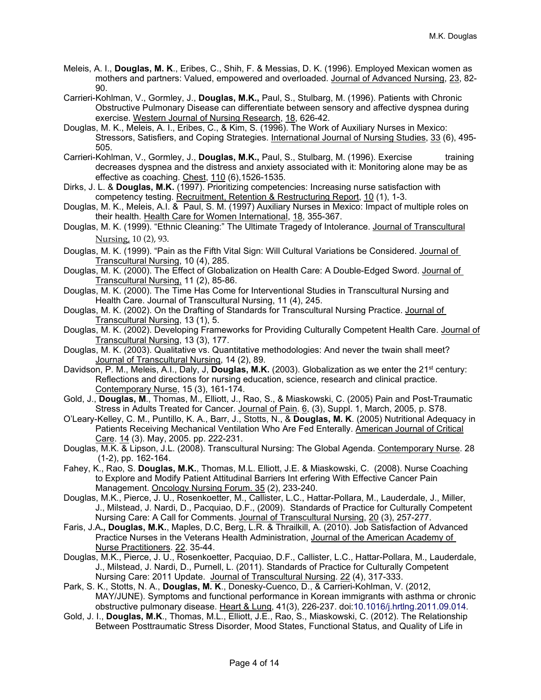- Meleis, A. I., **Douglas, M. K**., Eribes, C., Shih, F. & Messias, D. K. (1996). Employed Mexican women as mothers and partners: Valued, empowered and overloaded. Journal of Advanced Nursing, 23, 82- 90.
- Carrieri-Kohlman, V., Gormley, J., **Douglas, M.K.,** Paul, S., Stulbarg, M. (1996). Patients with Chronic Obstructive Pulmonary Disease can differentiate between sensory and affective dyspnea during exercise. Western Journal of Nursing Research, 18, 626-42.
- Douglas, M. K., Meleis, A. I., Eribes, C., & Kim, S. (1996). The Work of Auxiliary Nurses in Mexico: Stressors, Satisfiers, and Coping Strategies. International Journal of Nursing Studies, 33 (6), 495- 505.
- Carrieri-Kohlman, V., Gormley, J., **Douglas, M.K.,** Paul, S., Stulbarg, M. (1996). Exercise training decreases dyspnea and the distress and anxiety associated with it: Monitoring alone may be as effective as coaching. Chest, 110 (6),1526-1535.
- Dirks, J. L. & **Douglas, M.K.** (1997). Prioritizing competencies: Increasing nurse satisfaction with competency testing. Recruitment, Retention & Restructuring Report, 10 (1), 1-3.
- Douglas, M. K., Meleis, A.I. & Paul, S. M. (1997) Auxiliary Nurses in Mexico: Impact of multiple roles on their health. Health Care for Women International, 18, 355-367.
- Douglas, M. K. (1999). "Ethnic Cleaning:" The Ultimate Tragedy of Intolerance. Journal of Transcultural Nursing, 10 (2), 93.
- Douglas, M. K. (1999). "Pain as the Fifth Vital Sign: Will Cultural Variations be Considered. Journal of Transcultural Nursing, 10 (4), 285.
- Douglas, M. K. (2000). The Effect of Globalization on Health Care: A Double-Edged Sword. Journal of Transcultural Nursing, 11 (2), 85-86.
- Douglas, M. K. (2000). The Time Has Come for Interventional Studies in Transcultural Nursing and Health Care. Journal of Transcultural Nursing, 11 (4), 245.
- Douglas, M. K. (2002). On the Drafting of Standards for Transcultural Nursing Practice. Journal of Transcultural Nursing, 13 (1), 5.
- Douglas, M. K. (2002). Developing Frameworks for Providing Culturally Competent Health Care. Journal of Transcultural Nursing, 13 (3), 177.
- Douglas, M. K. (2003). Qualitative vs. Quantitative methodologies: And never the twain shall meet? Journal of Transcultural Nursing, 14 (2), 89.
- Davidson, P. M., Meleis, A.I., Daly, J, Douglas, M.K. (2003). Globalization as we enter the 21<sup>st</sup> century: Reflections and directions for nursing education, science, research and clinical practice. Contemporary Nurse, 15 (3), 161-174.
- Gold, J., **Douglas, M**., Thomas, M., Elliott, J., Rao, S., & Miaskowski, C. (2005) Pain and Post-Traumatic Stress in Adults Treated for Cancer. Journal of Pain. 6, (3), Suppl. 1, March, 2005, p. S78.
- O'Leary-Kelley, C. M., Puntillo, K. A., Barr, J., Stotts, N., & **Douglas, M. K**. (2005) Nutritional Adequacy in Patients Receiving Mechanical Ventilation Who Are Fed Enterally. American Journal of Critical Care. 14 (3). May, 2005. pp. 222-231.
- Douglas, M.K. & Lipson, J.L. (2008). Transcultural Nursing: The Global Agenda. Contemporary Nurse. 28 (1-2), pp. 162-164.
- Fahey, K., Rao, S. **Douglas, M.K.**, Thomas, M.L. Elliott, J.E. & Miaskowski, C. (2008). Nurse Coaching to Explore and Modify Patient Attitudinal Barriers Int erfering With Effective Cancer Pain Management. Oncology Nursing Forum. 35 (2), 233-240.
- Douglas, M.K., Pierce, J. U., Rosenkoetter, M., Callister, L.C., Hattar-Pollara, M., Lauderdale, J., Miller, J., Milstead, J. Nardi, D., Pacquiao, D.F., (2009). Standards of Practice for Culturally Competent Nursing Care: A Call for Comments. Journal of Transcultural Nursing, 20 (3), 257-277.
- Faris, J.A**., Douglas, M.K.**, Maples, D.C, Berg, L.R. & Thrailkill, A. (2010). Job Satisfaction of Advanced Practice Nurses in the Veterans Health Administration, Journal of the American Academy of Nurse Practitioners. 22. 35-44.
- Douglas, M.K., Pierce, J. U., Rosenkoetter, Pacquiao, D.F., Callister, L.C., Hattar-Pollara, M., Lauderdale, J., Milstead, J. Nardi, D., Purnell, L. (2011). Standards of Practice for Culturally Competent Nursing Care: 2011 Update. Journal of Transcultural Nursing. 22 (4), 317-333.
- Park, S. K., Stotts, N. A., **Douglas, M. K**., Donesky-Cuenco, D., & Carrieri-Kohlman, V. (2012, MAY/JUNE). Symptoms and functional performance in Korean immigrants with asthma or chronic obstructive pulmonary disease. Heart & Lung, 41(3), 226-237. doi:10.1016/j.hrtlng.2011.09.014.
- Gold, J. I., **Douglas, M.K**., Thomas, M.L., Elliott, J.E., Rao, S., Miaskowski, C. (2012). The Relationship Between Posttraumatic Stress Disorder, Mood States, Functional Status, and Quality of Life in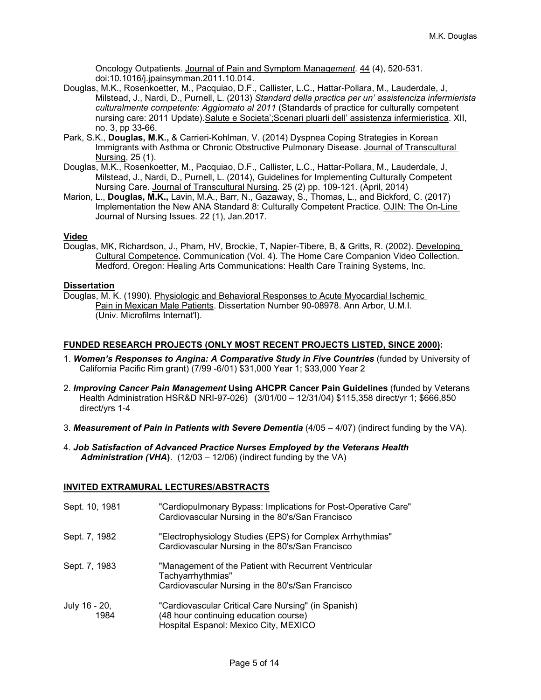Oncology Outpatients. Journal of Pain and Symptom Manag*ement.* 44 (4), 520-531. doi:10.1016/j.jpainsymman.2011.10.014.

- Douglas, M.K., Rosenkoetter, M., Pacquiao, D.F., Callister, L.C., Hattar-Pollara, M., Lauderdale, J, Milstead, J., Nardi, D., Purnell, L. (2013) *Standard della practica per un' assistenciza infermierista culturalmente competente: Aggiornato al 2011* (Standards of practice for culturally competent nursing care: 2011 Update). Salute e Societa'; Scenari pluarli dell' assistenza infermieristica. XII, no. 3, pp 33-66.
- Park, S.K., **Douglas, M.K.,** & Carrieri-Kohlman, V. (2014) Dyspnea Coping Strategies in Korean Immigrants with Asthma or Chronic Obstructive Pulmonary Disease. Journal of Transcultural Nursing, 25 (1).
- Douglas, M.K., Rosenkoetter, M., Pacquiao, D.F., Callister, L.C., Hattar-Pollara, M., Lauderdale, J, Milstead, J., Nardi, D., Purnell, L. (2014), Guidelines for Implementing Culturally Competent Nursing Care. Journal of Transcultural Nursing*.* 25 (2) pp. 109-121. (April, 2014)
- Marion, L., **Douglas, M.K.,** Lavin, M.A., Barr, N., Gazaway, S., Thomas, L., and Bickford, C. (2017) Implementation the New ANA Standard 8: Culturally Competent Practice. OJIN: The On-Line Journal of Nursing Issues. 22 (1), Jan.2017.

#### **Video**

Douglas, MK, Richardson, J., Pham, HV, Brockie, T, Napier-Tibere, B, & Gritts, R. (2002). Developing Cultural Competence**.** Communication (Vol. 4). The Home Care Companion Video Collection. Medford, Oregon: Healing Arts Communications: Health Care Training Systems, Inc.

#### **Dissertation**

Douglas, M. K. (1990). Physiologic and Behavioral Responses to Acute Myocardial Ischemic Pain in Mexican Male Patients. Dissertation Number 90-08978. Ann Arbor, U.M.I. (Univ. Microfilms Internat'l).

#### **FUNDED RESEARCH PROJECTS (ONLY MOST RECENT PROJECTS LISTED, SINCE 2000):**

- 1. **Women's Responses to Angina: A Comparative Study in Five Countries** (funded by University of California Pacific Rim grant) (7/99 -6/01) \$31,000 Year 1; \$33,000 Year 2
- 2. *Improving Cancer Pain Management* **Using AHCPR Cancer Pain Guidelines** (funded by Veterans Health Administration HSR&D NRI-97-026) (3/01/00 – 12/31/04) \$115,358 direct/yr 1; \$666,850 direct/yrs 1-4
- 3. Measurement of Pain in Patients with Severe Dementia (4/05 4/07) (indirect funding by the VA).
- 4. *Job Satisfaction of Advanced Practice Nurses Employed by the Veterans Health Administration (VHA***)**. (12/03 – 12/06) (indirect funding by the VA)

#### **INVITED EXTRAMURAL LECTURES/ABSTRACTS**

| Sept. 10, 1981        | "Cardiopulmonary Bypass: Implications for Post-Operative Care"<br>Cardiovascular Nursing in the 80's/San Francisco                    |
|-----------------------|---------------------------------------------------------------------------------------------------------------------------------------|
| Sept. 7, 1982         | "Electrophysiology Studies (EPS) for Complex Arrhythmias"<br>Cardiovascular Nursing in the 80's/San Francisco                         |
| Sept. 7, 1983         | "Management of the Patient with Recurrent Ventricular<br>Tachyarrhythmias"<br>Cardiovascular Nursing in the 80's/San Francisco        |
| July 16 - 20,<br>1984 | "Cardiovascular Critical Care Nursing" (in Spanish)<br>(48 hour continuing education course)<br>Hospital Espanol: Mexico City, MEXICO |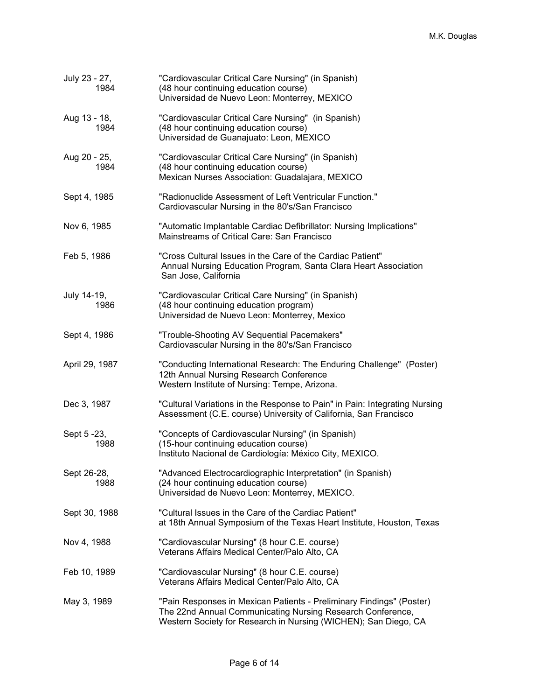| July 23 - 27,<br>1984 | "Cardiovascular Critical Care Nursing" (in Spanish)<br>(48 hour continuing education course)<br>Universidad de Nuevo Leon: Monterrey, MEXICO                                                          |
|-----------------------|-------------------------------------------------------------------------------------------------------------------------------------------------------------------------------------------------------|
| Aug 13 - 18,<br>1984  | "Cardiovascular Critical Care Nursing" (in Spanish)<br>(48 hour continuing education course)<br>Universidad de Guanajuato: Leon, MEXICO                                                               |
| Aug 20 - 25,<br>1984  | "Cardiovascular Critical Care Nursing" (in Spanish)<br>(48 hour continuing education course)<br>Mexican Nurses Association: Guadalajara, MEXICO                                                       |
| Sept 4, 1985          | "Radionuclide Assessment of Left Ventricular Function."<br>Cardiovascular Nursing in the 80's/San Francisco                                                                                           |
| Nov 6, 1985           | "Automatic Implantable Cardiac Defibrillator: Nursing Implications"<br>Mainstreams of Critical Care: San Francisco                                                                                    |
| Feb 5, 1986           | "Cross Cultural Issues in the Care of the Cardiac Patient"<br>Annual Nursing Education Program, Santa Clara Heart Association<br>San Jose, California                                                 |
| July 14-19,<br>1986   | "Cardiovascular Critical Care Nursing" (in Spanish)<br>(48 hour continuing education program)<br>Universidad de Nuevo Leon: Monterrey, Mexico                                                         |
| Sept 4, 1986          | "Trouble-Shooting AV Sequential Pacemakers"<br>Cardiovascular Nursing in the 80's/San Francisco                                                                                                       |
| April 29, 1987        | "Conducting International Research: The Enduring Challenge" (Poster)<br>12th Annual Nursing Research Conference<br>Western Institute of Nursing: Tempe, Arizona.                                      |
| Dec 3, 1987           | "Cultural Variations in the Response to Pain" in Pain: Integrating Nursing<br>Assessment (C.E. course) University of California, San Francisco                                                        |
| Sept 5 - 23,<br>1988  | "Concepts of Cardiovascular Nursing" (in Spanish)<br>(15-hour continuing education course)<br>Instituto Nacional de Cardiología: México City, MEXICO.                                                 |
| Sept 26-28,<br>1988   | "Advanced Electrocardiographic Interpretation" (in Spanish)<br>(24 hour continuing education course)<br>Universidad de Nuevo Leon: Monterrey, MEXICO.                                                 |
| Sept 30, 1988         | "Cultural Issues in the Care of the Cardiac Patient"<br>at 18th Annual Symposium of the Texas Heart Institute, Houston, Texas                                                                         |
| Nov 4, 1988           | "Cardiovascular Nursing" (8 hour C.E. course)<br>Veterans Affairs Medical Center/Palo Alto, CA                                                                                                        |
| Feb 10, 1989          | "Cardiovascular Nursing" (8 hour C.E. course)<br>Veterans Affairs Medical Center/Palo Alto, CA                                                                                                        |
| May 3, 1989           | "Pain Responses in Mexican Patients - Preliminary Findings" (Poster)<br>The 22nd Annual Communicating Nursing Research Conference,<br>Western Society for Research in Nursing (WICHEN); San Diego, CA |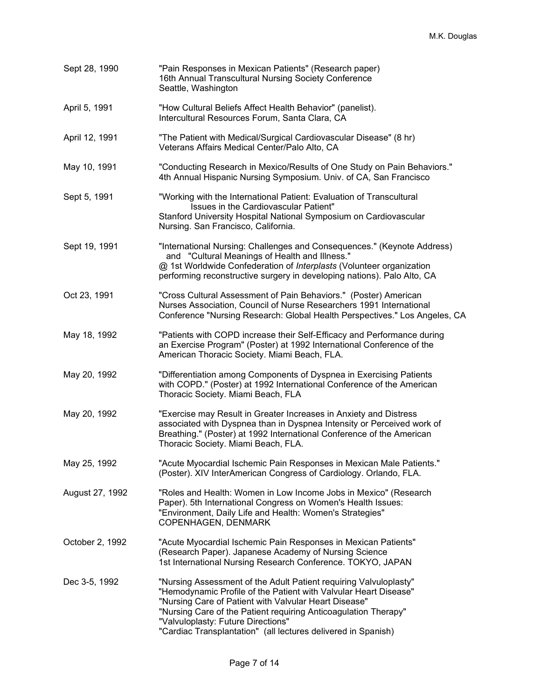| Sept 28, 1990   | "Pain Responses in Mexican Patients" (Research paper)<br>16th Annual Transcultural Nursing Society Conference<br>Seattle, Washington                                                                                                                                                                                                                                     |
|-----------------|--------------------------------------------------------------------------------------------------------------------------------------------------------------------------------------------------------------------------------------------------------------------------------------------------------------------------------------------------------------------------|
| April 5, 1991   | "How Cultural Beliefs Affect Health Behavior" (panelist).<br>Intercultural Resources Forum, Santa Clara, CA                                                                                                                                                                                                                                                              |
| April 12, 1991  | "The Patient with Medical/Surgical Cardiovascular Disease" (8 hr)<br>Veterans Affairs Medical Center/Palo Alto, CA                                                                                                                                                                                                                                                       |
| May 10, 1991    | "Conducting Research in Mexico/Results of One Study on Pain Behaviors."<br>4th Annual Hispanic Nursing Symposium. Univ. of CA, San Francisco                                                                                                                                                                                                                             |
| Sept 5, 1991    | "Working with the International Patient: Evaluation of Transcultural<br>Issues in the Cardiovascular Patient"<br>Stanford University Hospital National Symposium on Cardiovascular<br>Nursing. San Francisco, California.                                                                                                                                                |
| Sept 19, 1991   | "International Nursing: Challenges and Consequences." (Keynote Address)<br>and "Cultural Meanings of Health and Illness."<br>@ 1st Worldwide Confederation of Interplasts (Volunteer organization<br>performing reconstructive surgery in developing nations). Palo Alto, CA                                                                                             |
| Oct 23, 1991    | "Cross Cultural Assessment of Pain Behaviors." (Poster) American<br>Nurses Association, Council of Nurse Researchers 1991 International<br>Conference "Nursing Research: Global Health Perspectives." Los Angeles, CA                                                                                                                                                    |
| May 18, 1992    | "Patients with COPD increase their Self-Efficacy and Performance during<br>an Exercise Program" (Poster) at 1992 International Conference of the<br>American Thoracic Society. Miami Beach, FLA.                                                                                                                                                                         |
| May 20, 1992    | "Differentiation among Components of Dyspnea in Exercising Patients<br>with COPD." (Poster) at 1992 International Conference of the American<br>Thoracic Society. Miami Beach, FLA                                                                                                                                                                                       |
| May 20, 1992    | "Exercise may Result in Greater Increases in Anxiety and Distress<br>associated with Dyspnea than in Dyspnea Intensity or Perceived work of<br>Breathing." (Poster) at 1992 International Conference of the American<br>Thoracic Society. Miami Beach, FLA.                                                                                                              |
| May 25, 1992    | "Acute Myocardial Ischemic Pain Responses in Mexican Male Patients."<br>(Poster). XIV InterAmerican Congress of Cardiology. Orlando, FLA.                                                                                                                                                                                                                                |
| August 27, 1992 | "Roles and Health: Women in Low Income Jobs in Mexico" (Research<br>Paper). 5th International Congress on Women's Health Issues:<br>"Environment, Daily Life and Health: Women's Strategies"<br>COPENHAGEN, DENMARK                                                                                                                                                      |
| October 2, 1992 | "Acute Myocardial Ischemic Pain Responses in Mexican Patients"<br>(Research Paper). Japanese Academy of Nursing Science<br>1st International Nursing Research Conference. TOKYO, JAPAN                                                                                                                                                                                   |
| Dec 3-5, 1992   | "Nursing Assessment of the Adult Patient requiring Valvuloplasty"<br>"Hemodynamic Profile of the Patient with Valvular Heart Disease"<br>"Nursing Care of Patient with Valvular Heart Disease"<br>"Nursing Care of the Patient requiring Anticoagulation Therapy"<br>"Valvuloplasty: Future Directions"<br>"Cardiac Transplantation" (all lectures delivered in Spanish) |
|                 |                                                                                                                                                                                                                                                                                                                                                                          |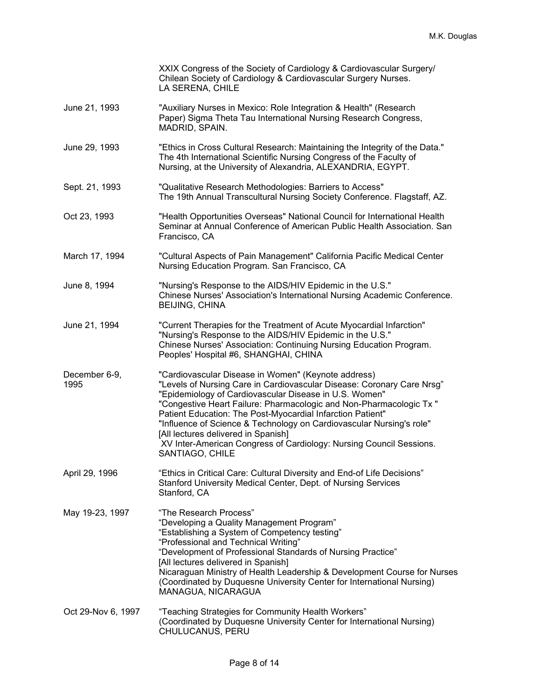|                       | XXIX Congress of the Society of Cardiology & Cardiovascular Surgery/<br>Chilean Society of Cardiology & Cardiovascular Surgery Nurses.<br>LA SERENA, CHILE                                                                                                                                                                                                                                                                                                                                                                            |
|-----------------------|---------------------------------------------------------------------------------------------------------------------------------------------------------------------------------------------------------------------------------------------------------------------------------------------------------------------------------------------------------------------------------------------------------------------------------------------------------------------------------------------------------------------------------------|
| June 21, 1993         | "Auxiliary Nurses in Mexico: Role Integration & Health" (Research<br>Paper) Sigma Theta Tau International Nursing Research Congress,<br>MADRID, SPAIN.                                                                                                                                                                                                                                                                                                                                                                                |
| June 29, 1993         | "Ethics in Cross Cultural Research: Maintaining the Integrity of the Data."<br>The 4th International Scientific Nursing Congress of the Faculty of<br>Nursing, at the University of Alexandria, ALEXANDRIA, EGYPT.                                                                                                                                                                                                                                                                                                                    |
| Sept. 21, 1993        | "Qualitative Research Methodologies: Barriers to Access"<br>The 19th Annual Transcultural Nursing Society Conference. Flagstaff, AZ.                                                                                                                                                                                                                                                                                                                                                                                                  |
| Oct 23, 1993          | "Health Opportunities Overseas" National Council for International Health<br>Seminar at Annual Conference of American Public Health Association. San<br>Francisco, CA                                                                                                                                                                                                                                                                                                                                                                 |
| March 17, 1994        | "Cultural Aspects of Pain Management" California Pacific Medical Center<br>Nursing Education Program. San Francisco, CA                                                                                                                                                                                                                                                                                                                                                                                                               |
| June 8, 1994          | "Nursing's Response to the AIDS/HIV Epidemic in the U.S."<br>Chinese Nurses' Association's International Nursing Academic Conference.<br><b>BEIJING, CHINA</b>                                                                                                                                                                                                                                                                                                                                                                        |
| June 21, 1994         | "Current Therapies for the Treatment of Acute Myocardial Infarction"<br>"Nursing's Response to the AIDS/HIV Epidemic in the U.S."<br>Chinese Nurses' Association: Continuing Nursing Education Program.<br>Peoples' Hospital #6, SHANGHAI, CHINA                                                                                                                                                                                                                                                                                      |
| December 6-9,<br>1995 | "Cardiovascular Disease in Women" (Keynote address)<br>"Levels of Nursing Care in Cardiovascular Disease: Coronary Care Nrsg"<br>"Epidemiology of Cardiovascular Disease in U.S. Women"<br>"Congestive Heart Failure: Pharmacologic and Non-Pharmacologic Tx "<br>Patient Education: The Post-Myocardial Infarction Patient"<br>"Influence of Science & Technology on Cardiovascular Nursing's role"<br>[All lectures delivered in Spanish]<br>XV Inter-American Congress of Cardiology: Nursing Council Sessions.<br>SANTIAGO, CHILE |
| April 29, 1996        | "Ethics in Critical Care: Cultural Diversity and End-of Life Decisions"<br>Stanford University Medical Center, Dept. of Nursing Services<br>Stanford, CA                                                                                                                                                                                                                                                                                                                                                                              |
| May 19-23, 1997       | "The Research Process"<br>"Developing a Quality Management Program"<br>"Establishing a System of Competency testing"<br>"Professional and Technical Writing"<br>"Development of Professional Standards of Nursing Practice"<br>[All lectures delivered in Spanish]<br>Nicaraguan Ministry of Health Leadership & Development Course for Nurses<br>(Coordinated by Duquesne University Center for International Nursing)<br>MANAGUA, NICARAGUA                                                                                         |
| Oct 29-Nov 6, 1997    | "Teaching Strategies for Community Health Workers"<br>(Coordinated by Duquesne University Center for International Nursing)<br>CHULUCANUS, PERU                                                                                                                                                                                                                                                                                                                                                                                       |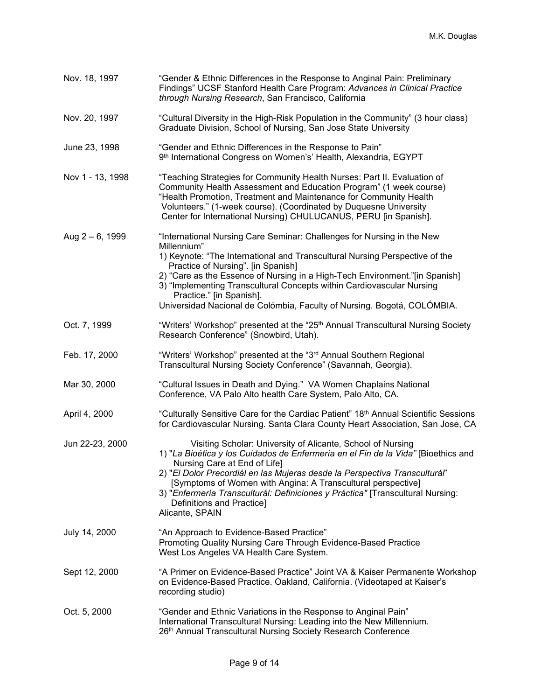| Nov. 18, 1997      | "Gender & Ethnic Differences in the Response to Anginal Pain: Preliminary<br>Findings" UCSF Stanford Health Care Program: Advances in Clinical Practice<br>through Nursing Research, San Francisco, California                                                                                                                                                                                                                                                            |
|--------------------|---------------------------------------------------------------------------------------------------------------------------------------------------------------------------------------------------------------------------------------------------------------------------------------------------------------------------------------------------------------------------------------------------------------------------------------------------------------------------|
| Nov. 20, 1997      | "Cultural Diversity in the High-Risk Population in the Community" (3 hour class)<br>Graduate Division, School of Nursing, San Jose State University                                                                                                                                                                                                                                                                                                                       |
| June 23, 1998      | "Gender and Ethnic Differences in the Response to Pain"<br>9th International Congress on Women's' Health, Alexandria, EGYPT                                                                                                                                                                                                                                                                                                                                               |
| Nov 1 - 13, 1998   | "Teaching Strategies for Community Health Nurses: Part II. Evaluation of<br>Community Health Assessment and Education Program" (1 week course)<br>"Health Promotion, Treatment and Maintenance for Community Health<br>Volunteers." (1-week course). (Coordinated by Duquesne University<br>Center for International Nursing) CHULUCANUS, PERU [in Spanish].                                                                                                              |
| Aug $2 - 6$ , 1999 | "International Nursing Care Seminar: Challenges for Nursing in the New<br>Millennium"<br>1) Keynote: "The International and Transcultural Nursing Perspective of the<br>Practice of Nursing". [in Spanish]<br>2) "Care as the Essence of Nursing in a High-Tech Environment."[in Spanish]<br>3) "Implementing Transcultural Concepts within Cardiovascular Nursing<br>Practice." [in Spanish].<br>Universidad Nacional de Colómbia, Faculty of Nursing. Bogotá, COLÓMBIA. |
| Oct. 7, 1999       | "Writers' Workshop" presented at the "25 <sup>th</sup> Annual Transcultural Nursing Society<br>Research Conference" (Snowbird, Utah).                                                                                                                                                                                                                                                                                                                                     |
| Feb. 17, 2000      | "Writers' Workshop" presented at the "3 <sup>rd</sup> Annual Southern Regional<br>Transcultural Nursing Society Conference" (Savannah, Georgia).                                                                                                                                                                                                                                                                                                                          |
| Mar 30, 2000       | "Cultural Issues in Death and Dying." VA Women Chaplains National<br>Conference, VA Palo Alto health Care System, Palo Alto, CA.                                                                                                                                                                                                                                                                                                                                          |
| April 4, 2000      | "Culturally Sensitive Care for the Cardiac Patient" 18th Annual Scientific Sessions<br>for Cardiovascular Nursing. Santa Clara County Heart Association, San Jose, CA                                                                                                                                                                                                                                                                                                     |
| Jun 22-23, 2000    | Visiting Scholar: University of Alicante, School of Nursing<br>1) "La Bioética y los Cuidados de Enfermería en el Fin de la Vida" [Bioethics and<br>Nursing Care at End of Life]<br>2) "El Dolor Precordiál en las Mujeras desde la Perspectíva Transculturál"<br>[Symptoms of Women with Angina: A Transcultural perspective]<br>3) "Enfermería Transculturál: Definiciones y Práctica" [Transcultural Nursing:<br>Definitions and Practice]<br>Alicante, SPAIN          |
| July 14, 2000      | "An Approach to Evidence-Based Practice"<br>Promoting Quality Nursing Care Through Evidence-Based Practice<br>West Los Angeles VA Health Care System.                                                                                                                                                                                                                                                                                                                     |
| Sept 12, 2000      | "A Primer on Evidence-Based Practice" Joint VA & Kaiser Permanente Workshop<br>on Evidence-Based Practice. Oakland, California. (Videotaped at Kaiser's<br>recording studio)                                                                                                                                                                                                                                                                                              |
| Oct. 5, 2000       | "Gender and Ethnic Variations in the Response to Anginal Pain"<br>International Transcultural Nursing: Leading into the New Millennium.<br>26th Annual Transcultural Nursing Society Research Conference                                                                                                                                                                                                                                                                  |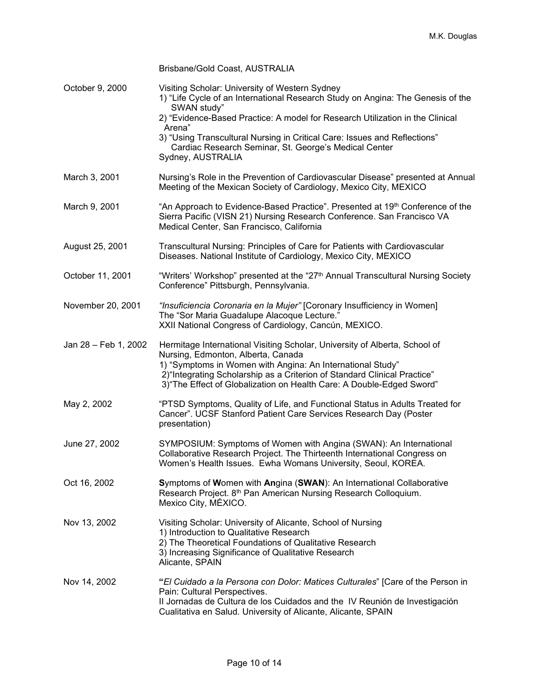|                      | Brisbane/Gold Coast, AUSTRALIA                                                                                                                                                                                                                                                                                                                                                                         |
|----------------------|--------------------------------------------------------------------------------------------------------------------------------------------------------------------------------------------------------------------------------------------------------------------------------------------------------------------------------------------------------------------------------------------------------|
| October 9, 2000      | Visiting Scholar: University of Western Sydney<br>1) "Life Cycle of an International Research Study on Angina: The Genesis of the<br>SWAN study"<br>2) "Evidence-Based Practice: A model for Research Utilization in the Clinical<br>Arena"<br>3) "Using Transcultural Nursing in Critical Care: Issues and Reflections"<br>Cardiac Research Seminar, St. George's Medical Center<br>Sydney, AUSTRALIA |
| March 3, 2001        | Nursing's Role in the Prevention of Cardiovascular Disease" presented at Annual<br>Meeting of the Mexican Society of Cardiology, Mexico City, MEXICO                                                                                                                                                                                                                                                   |
| March 9, 2001        | "An Approach to Evidence-Based Practice". Presented at 19 <sup>th</sup> Conference of the<br>Sierra Pacific (VISN 21) Nursing Research Conference. San Francisco VA<br>Medical Center, San Francisco, California                                                                                                                                                                                       |
| August 25, 2001      | Transcultural Nursing: Principles of Care for Patients with Cardiovascular<br>Diseases. National Institute of Cardiology, Mexico City, MEXICO                                                                                                                                                                                                                                                          |
| October 11, 2001     | "Writers' Workshop" presented at the "27 <sup>th</sup> Annual Transcultural Nursing Society<br>Conference" Pittsburgh, Pennsylvania.                                                                                                                                                                                                                                                                   |
| November 20, 2001    | "Insuficiencia Coronaria en la Mujer" [Coronary Insufficiency in Women]<br>The "Sor Maria Guadalupe Alacoque Lecture."<br>XXII National Congress of Cardiology, Cancún, MEXICO.                                                                                                                                                                                                                        |
| Jan 28 - Feb 1, 2002 | Hermitage International Visiting Scholar, University of Alberta, School of<br>Nursing, Edmonton, Alberta, Canada<br>1) "Symptoms in Women with Angina: An International Study"<br>2) "Integrating Scholarship as a Criterion of Standard Clinical Practice"<br>3) "The Effect of Globalization on Health Care: A Double-Edged Sword"                                                                   |
| May 2, 2002          | "PTSD Symptoms, Quality of Life, and Functional Status in Adults Treated for<br>Cancer". UCSF Stanford Patient Care Services Research Day (Poster<br>presentation)                                                                                                                                                                                                                                     |
| June 27, 2002        | SYMPOSIUM: Symptoms of Women with Angina (SWAN): An International<br>Collaborative Research Project. The Thirteenth International Congress on<br>Women's Health Issues. Ewha Womans University, Seoul, KOREA.                                                                                                                                                                                          |
| Oct 16, 2002         | Symptoms of Women with Angina (SWAN): An International Collaborative<br>Research Project. 8 <sup>th</sup> Pan American Nursing Research Colloquium.<br>Mexico City, MÉXICO.                                                                                                                                                                                                                            |
| Nov 13, 2002         | Visiting Scholar: University of Alicante, School of Nursing<br>1) Introduction to Qualitative Research<br>2) The Theoretical Foundations of Qualitative Research<br>3) Increasing Significance of Qualitative Research<br>Alicante, SPAIN                                                                                                                                                              |
| Nov 14, 2002         | "El Cuidado a la Persona con Dolor: Matices Culturales" [Care of the Person in<br>Pain: Cultural Perspectives.<br>Il Jornadas de Cultura de los Cuidados and the IV Reunión de Investigación<br>Cualitativa en Salud. University of Alicante, Alicante, SPAIN                                                                                                                                          |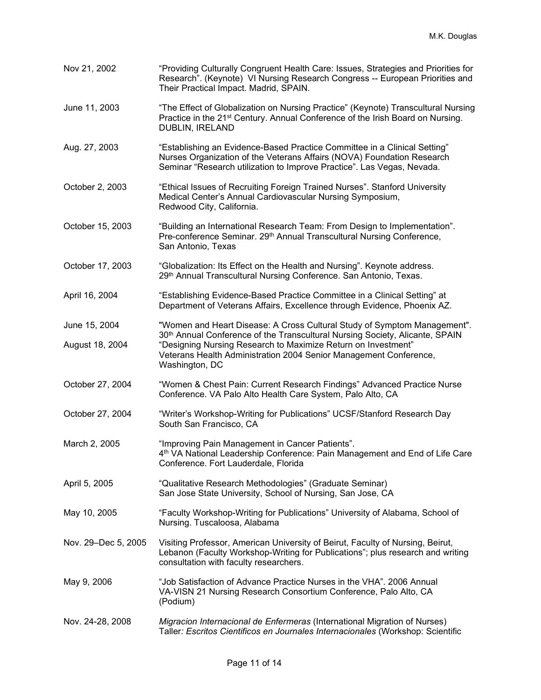| Nov 21, 2002        | "Providing Culturally Congruent Health Care: Issues, Strategies and Priorities for<br>Research". (Keynote) VI Nursing Research Congress -- European Priorities and<br>Their Practical Impact. Madrid, SPAIN.                  |
|---------------------|-------------------------------------------------------------------------------------------------------------------------------------------------------------------------------------------------------------------------------|
| June 11, 2003       | "The Effect of Globalization on Nursing Practice" (Keynote) Transcultural Nursing<br>Practice in the 21 <sup>st</sup> Century. Annual Conference of the Irish Board on Nursing.<br>DUBLIN, IRELAND                            |
| Aug. 27, 2003       | "Establishing an Evidence-Based Practice Committee in a Clinical Setting"<br>Nurses Organization of the Veterans Affairs (NOVA) Foundation Research<br>Seminar "Research utilization to Improve Practice". Las Vegas, Nevada. |
| October 2, 2003     | "Ethical Issues of Recruiting Foreign Trained Nurses". Stanford University<br>Medical Center's Annual Cardiovascular Nursing Symposium,<br>Redwood City, California.                                                          |
| October 15, 2003    | "Building an International Research Team: From Design to Implementation".<br>Pre-conference Seminar. 29th Annual Transcultural Nursing Conference,<br>San Antonio, Texas                                                      |
| October 17, 2003    | "Globalization: Its Effect on the Health and Nursing". Keynote address.<br>29th Annual Transcultural Nursing Conference. San Antonio, Texas.                                                                                  |
| April 16, 2004      | "Establishing Evidence-Based Practice Committee in a Clinical Setting" at<br>Department of Veterans Affairs, Excellence through Evidence, Phoenix AZ.                                                                         |
| June 15, 2004       | "Women and Heart Disease: A Cross Cultural Study of Symptom Management".<br>30 <sup>th</sup> Annual Conference of the Transcultural Nursing Society, Alicante, SPAIN                                                          |
| August 18, 2004     | "Designing Nursing Research to Maximize Return on Investment"<br>Veterans Health Administration 2004 Senior Management Conference,<br>Washington, DC                                                                          |
| October 27, 2004    | "Women & Chest Pain: Current Research Findings" Advanced Practice Nurse<br>Conference. VA Palo Alto Health Care System, Palo Alto, CA                                                                                         |
| October 27, 2004    | "Writer's Workshop-Writing for Publications" UCSF/Stanford Research Day<br>South San Francisco, CA                                                                                                                            |
| March 2, 2005       | "Improving Pain Management in Cancer Patients".<br>4 <sup>th</sup> VA National Leadership Conference: Pain Management and End of Life Care<br>Conference. Fort Lauderdale, Florida                                            |
| April 5, 2005       | "Qualitative Research Methodologies" (Graduate Seminar)<br>San Jose State University, School of Nursing, San Jose, CA                                                                                                         |
| May 10, 2005        | "Faculty Workshop-Writing for Publications" University of Alabama, School of<br>Nursing. Tuscaloosa, Alabama                                                                                                                  |
| Nov. 29-Dec 5, 2005 | Visiting Professor, American University of Beirut, Faculty of Nursing, Beirut,<br>Lebanon (Faculty Workshop-Writing for Publications"; plus research and writing<br>consultation with faculty researchers.                    |
| May 9, 2006         | "Job Satisfaction of Advance Practice Nurses in the VHA". 2006 Annual<br>VA-VISN 21 Nursing Research Consortium Conference, Palo Alto, CA<br>(Podium)                                                                         |
| Nov. 24-28, 2008    | Migracion Internacional de Enfermeras (International Migration of Nurses)<br>Taller: Escritos Cientificos en Journales Internacionales (Workshop: Scientific                                                                  |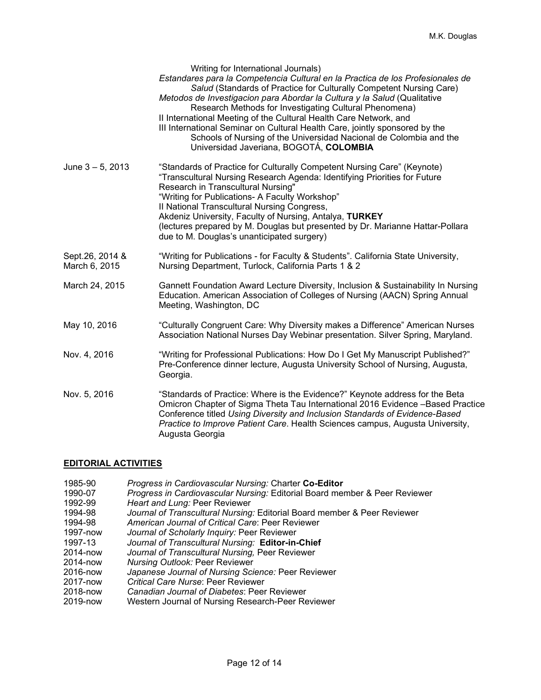|                                  | Writing for International Journals)<br>Estandares para la Competencia Cultural en la Practica de los Profesionales de<br>Salud (Standards of Practice for Culturally Competent Nursing Care)<br>Metodos de Investigacion para Abordar la Cultura y la Salud (Qualitative<br>Research Methods for Investigating Cultural Phenomena)<br>II International Meeting of the Cultural Health Care Network, and<br>III International Seminar on Cultural Health Care, jointly sponsored by the<br>Schools of Nursing of the Universidad Nacional de Colombia and the<br>Universidad Javeriana, BOGOTÁ, COLOMBIA |
|----------------------------------|---------------------------------------------------------------------------------------------------------------------------------------------------------------------------------------------------------------------------------------------------------------------------------------------------------------------------------------------------------------------------------------------------------------------------------------------------------------------------------------------------------------------------------------------------------------------------------------------------------|
| June $3 - 5$ , 2013              | "Standards of Practice for Culturally Competent Nursing Care" (Keynote)<br>"Transcultural Nursing Research Agenda: Identifying Priorities for Future<br>Research in Transcultural Nursing"<br>"Writing for Publications- A Faculty Workshop"<br>Il National Transcultural Nursing Congress,<br>Akdeniz University, Faculty of Nursing, Antalya, TURKEY<br>(lectures prepared by M. Douglas but presented by Dr. Marianne Hattar-Pollara<br>due to M. Douglas's unanticipated surgery)                                                                                                                   |
| Sept.26, 2014 &<br>March 6, 2015 | "Writing for Publications - for Faculty & Students". California State University,<br>Nursing Department, Turlock, California Parts 1 & 2                                                                                                                                                                                                                                                                                                                                                                                                                                                                |
| March 24, 2015                   | Gannett Foundation Award Lecture Diversity, Inclusion & Sustainability In Nursing<br>Education. American Association of Colleges of Nursing (AACN) Spring Annual<br>Meeting, Washington, DC                                                                                                                                                                                                                                                                                                                                                                                                             |
| May 10, 2016                     | "Culturally Congruent Care: Why Diversity makes a Difference" American Nurses<br>Association National Nurses Day Webinar presentation. Silver Spring, Maryland.                                                                                                                                                                                                                                                                                                                                                                                                                                         |
| Nov. 4, 2016                     | "Writing for Professional Publications: How Do I Get My Manuscript Published?"<br>Pre-Conference dinner lecture, Augusta University School of Nursing, Augusta,<br>Georgia.                                                                                                                                                                                                                                                                                                                                                                                                                             |
| Nov. 5, 2016                     | "Standards of Practice: Where is the Evidence?" Keynote address for the Beta<br>Omicron Chapter of Sigma Theta Tau International 2016 Evidence -Based Practice<br>Conference titled Using Diversity and Inclusion Standards of Evidence-Based<br>Practice to Improve Patient Care. Health Sciences campus, Augusta University,<br>Augusta Georgia                                                                                                                                                                                                                                                       |

# **EDITORIAL ACTIVITIES**

- 1985-90 *Progress in Cardiovascular Nursing:* Charter **Co-Editor**
- 1990-07 *Progress in Cardiovascular Nursing:* Editorial Board member & Peer Reviewer
- 1992-99 *Heart and Lung:* Peer Reviewer
- 1994-98 *Journal of Transcultural Nursing:* Editorial Board member & Peer Reviewer
- 1994-98 *American Journal of Critical Care*: Peer Reviewer
- 1997-now *Journal of Scholarly Inquiry:* Peer Reviewer
- 1997-13 *Journal of Transcultural Nursing:* **Editor-in-Chief**
- 2014-now *Journal of Transcultural Nursing,* Peer Reviewer
- 2014-now *Nursing Outlook:* Peer Reviewer
- 2016-now *Japanese Journal of Nursing Science:* Peer Reviewer
- 2017-now *Critical Care Nurse*: Peer Reviewer
- 2018-now *Canadian Journal of Diabetes*: Peer Reviewer
- Western Journal of Nursing Research-Peer Reviewer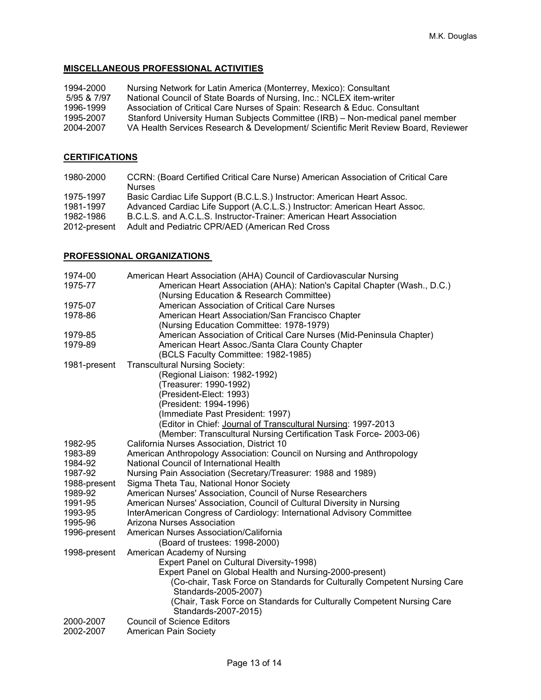# **MISCELLANEOUS PROFESSIONAL ACTIVITIES**

| 1994-2000   | Nursing Network for Latin America (Monterrey, Mexico): Consultant                  |
|-------------|------------------------------------------------------------------------------------|
| 5/95 & 7/97 | National Council of State Boards of Nursing, Inc.: NCLEX item-writer               |
| 1996-1999   | Association of Critical Care Nurses of Spain: Research & Educ. Consultant          |
| 1995-2007   | Stanford University Human Subjects Committee (IRB) – Non-medical panel member      |
| 2004-2007   | VA Health Services Research & Development/ Scientific Merit Review Board, Reviewer |

# **CERTIFICATIONS**

| CCRN: (Board Certified Critical Care Nurse) American Association of Critical Care<br><b>Nurses</b> |
|----------------------------------------------------------------------------------------------------|
| Basic Cardiac Life Support (B.C.L.S.) Instructor: American Heart Assoc.                            |
| Advanced Cardiac Life Support (A.C.L.S.) Instructor: American Heart Assoc.                         |
| B.C.L.S. and A.C.L.S. Instructor-Trainer: American Heart Association                               |
| 2012-present Adult and Pediatric CPR/AED (American Red Cross                                       |
|                                                                                                    |

# **PROFESSIONAL ORGANIZATIONS**

| 1974-00<br>1975-77 | American Heart Association (AHA) Council of Cardiovascular Nursing<br>American Heart Association (AHA): Nation's Capital Chapter (Wash., D.C.)<br>(Nursing Education & Research Committee) |
|--------------------|--------------------------------------------------------------------------------------------------------------------------------------------------------------------------------------------|
| 1975-07            | American Association of Critical Care Nurses                                                                                                                                               |
| 1978-86            | American Heart Association/San Francisco Chapter                                                                                                                                           |
|                    | (Nursing Education Committee: 1978-1979)                                                                                                                                                   |
| 1979-85            | American Association of Critical Care Nurses (Mid-Peninsula Chapter)                                                                                                                       |
| 1979-89            | American Heart Assoc./Santa Clara County Chapter                                                                                                                                           |
|                    | (BCLS Faculty Committee: 1982-1985)                                                                                                                                                        |
| 1981-present       | <b>Transcultural Nursing Society:</b>                                                                                                                                                      |
|                    | (Regional Liaison: 1982-1992)                                                                                                                                                              |
|                    | (Treasurer: 1990-1992)                                                                                                                                                                     |
|                    | (President-Elect: 1993)                                                                                                                                                                    |
|                    | (President: 1994-1996)                                                                                                                                                                     |
|                    | (Immediate Past President: 1997)                                                                                                                                                           |
|                    | (Editor in Chief: Journal of Transcultural Nursing: 1997-2013                                                                                                                              |
|                    | (Member: Transcultural Nursing Certification Task Force- 2003-06)                                                                                                                          |
| 1982-95            | California Nurses Association, District 10                                                                                                                                                 |
| 1983-89            | American Anthropology Association: Council on Nursing and Anthropology                                                                                                                     |
| 1984-92            | National Council of International Health                                                                                                                                                   |
| 1987-92            | Nursing Pain Association (Secretary/Treasurer: 1988 and 1989)                                                                                                                              |
| 1988-present       | Sigma Theta Tau, National Honor Society                                                                                                                                                    |
| 1989-92            | American Nurses' Association, Council of Nurse Researchers                                                                                                                                 |
| 1991-95            | American Nurses' Association, Council of Cultural Diversity in Nursing                                                                                                                     |
| 1993-95            | InterAmerican Congress of Cardiology: International Advisory Committee                                                                                                                     |
| 1995-96            | Arizona Nurses Association                                                                                                                                                                 |
| 1996-present       | American Nurses Association/California                                                                                                                                                     |
|                    | (Board of trustees: 1998-2000)                                                                                                                                                             |
| 1998-present       | American Academy of Nursing                                                                                                                                                                |
|                    | Expert Panel on Cultural Diversity-1998)                                                                                                                                                   |
|                    | Expert Panel on Global Health and Nursing-2000-present)                                                                                                                                    |
|                    | (Co-chair, Task Force on Standards for Culturally Competent Nursing Care                                                                                                                   |
|                    | Standards-2005-2007)                                                                                                                                                                       |
|                    | (Chair, Task Force on Standards for Culturally Competent Nursing Care                                                                                                                      |
|                    | Standards-2007-2015)                                                                                                                                                                       |
| 2000-2007          | <b>Council of Science Editors</b>                                                                                                                                                          |
| 2002-2007          | <b>American Pain Society</b>                                                                                                                                                               |